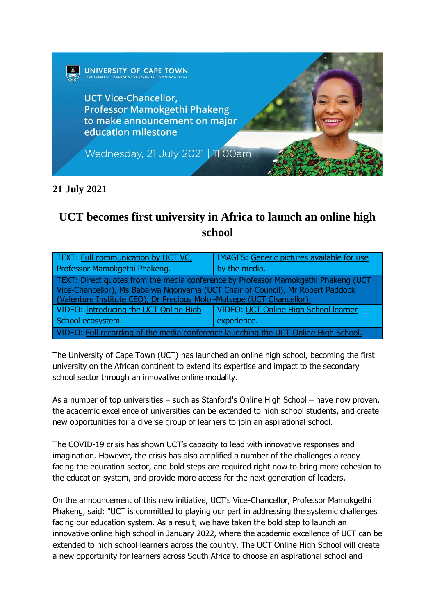

## **21 July 2021**

## **UCT becomes first university in Africa to launch an online high school**

| TEXT: Full communication by UCT VC,                                                 | <b>IMAGES:</b> Generic pictures available for use |
|-------------------------------------------------------------------------------------|---------------------------------------------------|
| Professor Mamokgethi Phakeng.                                                       | by the media.                                     |
| TEXT: Direct quotes from the media conference by Professor Mamokgethi Phakeng (UCT  |                                                   |
| Vice-Chancellor), Ms Babalwa Ngonyama (UCT Chair of Council), Mr Robert Paddock     |                                                   |
| (Valenture Institute CEO), Dr Precious Moloi-Motsepe (UCT Chancellor).              |                                                   |
| VIDEO: Introducing the UCT Online High                                              | VIDEO: UCT Online High School learner             |
| School ecosystem.                                                                   | experience.                                       |
| VIDEO: Full recording of the media conference launching the UCT Online High School. |                                                   |

The University of Cape Town (UCT) has launched an online high school, becoming the first university on the African continent to extend its expertise and impact to the secondary school sector through an innovative online modality.

As a number of top universities – such as Stanford's Online High School – have now proven, the academic excellence of universities can be extended to high school students, and create new opportunities for a diverse group of learners to join an aspirational school.

The COVID-19 crisis has shown UCT's capacity to lead with innovative responses and imagination. However, the crisis has also amplified a number of the challenges already facing the education sector, and bold steps are required right now to bring more cohesion to the education system, and provide more access for the next generation of leaders.

On the announcement of this new initiative, UCT's Vice-Chancellor, Professor Mamokgethi Phakeng, said: "UCT is committed to playing our part in addressing the systemic challenges facing our education system. As a result, we have taken the bold step to launch an innovative online high school in January 2022, where the academic excellence of UCT can be extended to high school learners across the country. The UCT Online High School will create a new opportunity for learners across South Africa to choose an aspirational school and